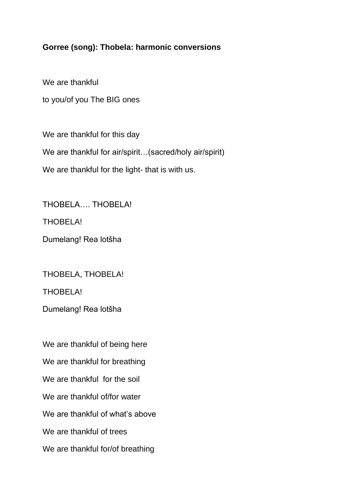## **Gorree (song): Thobela: harmonic conversions**

We are thankful to you/of you The BIG ones

We are thankful for this day We are thankful for air/spirit...(sacred/holy air/spirit) We are thankful for the light- that is with us.

THOBELA THOBELA!

THOBELA!

Dumelang! Rea lotšha

THOBELA, THOBELA!

THOBELA!

Dumelang! Rea lotšha

We are thankful of being here We are thankful for breathing We are thankful for the soil We are thankful of/for water We are thankful of what's above We are thankful of trees We are thankful for/of breathing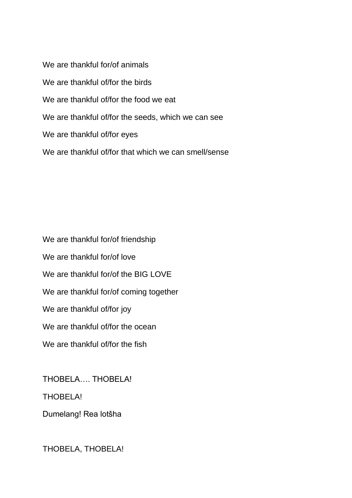We are thankful for/of animals We are thankful of/for the birds We are thankful of/for the food we eat We are thankful of/for the seeds, which we can see We are thankful of/for eyes We are thankful of/for that which we can smell/sense

We are thankful for/of friendship We are thankful for/of love We are thankful for/of the BIG LOVE We are thankful for/of coming together We are thankful of/for joy We are thankful of/for the ocean We are thankful of/for the fish

THOBELA…. THOBELA!

THOBELA!

Dumelang! Rea lotšha

THOBELA, THOBELA!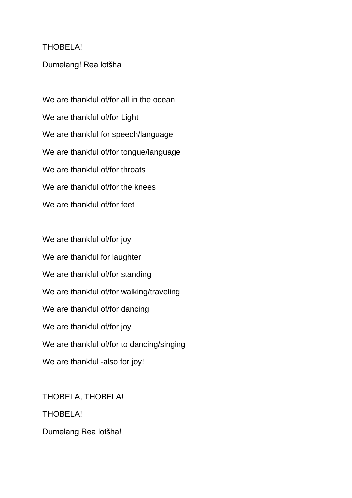## THOBELA!

## Dumelang! Rea lotšha

We are thankful of/for all in the ocean We are thankful of/for Light We are thankful for speech/language We are thankful of/for tongue/language We are thankful of/for throats We are thankful of/for the knees We are thankful of/for feet

We are thankful of/for joy We are thankful for laughter We are thankful of/for standing We are thankful of/for walking/traveling We are thankful of/for dancing We are thankful of/for joy We are thankful of/for to dancing/singing We are thankful -also for joy!

THOBELA, THOBELA! THOBELA! Dumelang Rea lotšha!